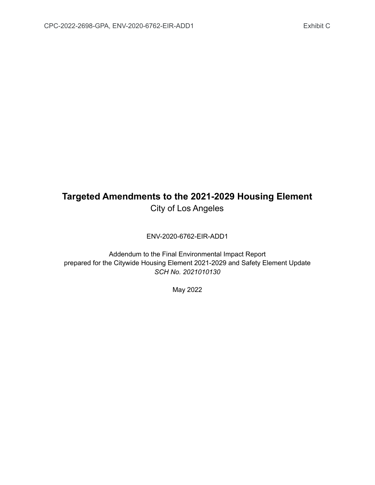# **Targeted Amendments to the 2021-2029 Housing Element** City of Los Angeles

ENV-2020-6762-EIR-ADD1

Addendum to the Final Environmental Impact Report prepared for the Citywide Housing Element 2021-2029 and Safety Element Update *SCH No. 2021010130*

May 2022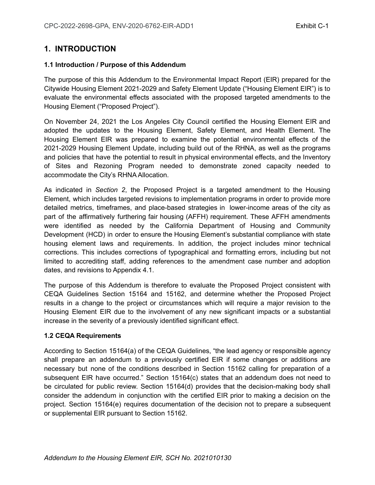# **1. INTRODUCTION**

#### **1.1 Introduction / Purpose of this Addendum**

The purpose of this this Addendum to the Environmental Impact Report (EIR) prepared for the Citywide Housing Element 2021-2029 and Safety Element Update ("Housing Element EIR") is to evaluate the environmental effects associated with the proposed targeted amendments to the Housing Element ("Proposed Project").

On November 24, 2021 the Los Angeles City Council certified the Housing Element EIR and adopted the updates to the Housing Element, Safety Element, and Health Element. The Housing Element EIR was prepared to examine the potential environmental effects of the 2021-2029 Housing Element Update, including build out of the RHNA, as well as the programs and policies that have the potential to result in physical environmental effects, and the Inventory of Sites and Rezoning Program needed to demonstrate zoned capacity needed to accommodate the City's RHNA Allocation.

As indicated in *Section 2*, the Proposed Project is a targeted amendment to the Housing Element, which includes targeted revisions to implementation programs in order to provide more detailed metrics, timeframes, and place-based strategies in lower-income areas of the city as part of the affirmatively furthering fair housing (AFFH) requirement. These AFFH amendments were identified as needed by the California Department of Housing and Community Development (HCD) in order to ensure the Housing Element's substantial compliance with state housing element laws and requirements. In addition, the project includes minor technical corrections. This includes corrections of typographical and formatting errors, including but not limited to accrediting staff, adding references to the amendment case number and adoption dates, and revisions to Appendix 4.1.

The purpose of this Addendum is therefore to evaluate the Proposed Project consistent with CEQA Guidelines Section 15164 and 15162, and determine whether the Proposed Project results in a change to the project or circumstances which will require a major revision to the Housing Element EIR due to the involvement of any new significant impacts or a substantial increase in the severity of a previously identified significant effect.

#### **1.2 CEQA Requirements**

According to Section 15164(a) of the CEQA Guidelines, "the lead agency or responsible agency shall prepare an addendum to a previously certified EIR if some changes or additions are necessary but none of the conditions described in Section 15162 calling for preparation of a subsequent EIR have occurred." Section 15164(c) states that an addendum does not need to be circulated for public review. Section 15164(d) provides that the decision-making body shall consider the addendum in conjunction with the certified EIR prior to making a decision on the project. Section 15164(e) requires documentation of the decision not to prepare a subsequent or supplemental EIR pursuant to Section 15162.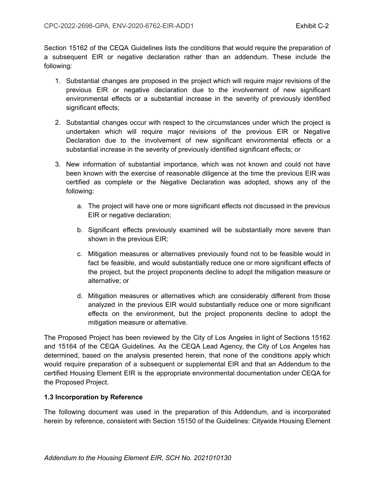Section 15162 of the CEQA Guidelines lists the conditions that would require the preparation of a subsequent EIR or negative declaration rather than an addendum. These include the following:

- 1. Substantial changes are proposed in the project which will require major revisions of the previous EIR or negative declaration due to the involvement of new significant environmental effects or a substantial increase in the severity of previously identified significant effects;
- 2. Substantial changes occur with respect to the circumstances under which the project is undertaken which will require major revisions of the previous EIR or Negative Declaration due to the involvement of new significant environmental effects or a substantial increase in the severity of previously identified significant effects; or
- 3. New information of substantial importance, which was not known and could not have been known with the exercise of reasonable diligence at the time the previous EIR was certified as complete or the Negative Declaration was adopted, shows any of the following:
	- a. The project will have one or more significant effects not discussed in the previous EIR or negative declaration;
	- b. Significant effects previously examined will be substantially more severe than shown in the previous EIR;
	- c. Mitigation measures or alternatives previously found not to be feasible would in fact be feasible, and would substantially reduce one or more significant effects of the project, but the project proponents decline to adopt the mitigation measure or alternative; or
	- d. Mitigation measures or alternatives which are considerably different from those analyzed in the previous EIR would substantially reduce one or more significant effects on the environment, but the project proponents decline to adopt the mitigation measure or alternative.

The Proposed Project has been reviewed by the City of Los Angeles in light of Sections 15162 and 15164 of the CEQA Guidelines. As the CEQA Lead Agency, the City of Los Angeles has determined, based on the analysis presented herein, that none of the conditions apply which would require preparation of a subsequent or supplemental EIR and that an Addendum to the certified Housing Element EIR is the appropriate environmental documentation under CEQA for the Proposed Project.

# **1.3 Incorporation by Reference**

The following document was used in the preparation of this Addendum, and is incorporated herein by reference, consistent with Section 15150 of the Guidelines: Citywide Housing Element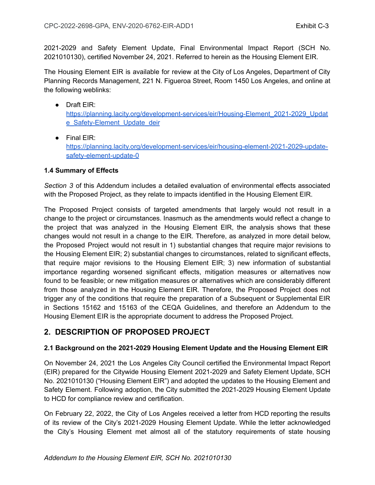2021-2029 and Safety Element Update, Final Environmental Impact Report (SCH No. 2021010130), certified November 24, 2021. Referred to herein as the Housing Element EIR.

The Housing Element EIR is available for review at the City of Los Angeles, Department of City Planning Records Management, 221 N. Figueroa Street, Room 1450 Los Angeles, and online at the following weblinks:

- Draft EIR: [https://planning.lacity.org/development-services/eir/Housing-Element\\_2021-2029\\_Updat](https://planning.lacity.org/development-services/eir/Housing-Element_2021-2029_Update_Safety-Element_Update_deir) e Safety-Element Update deir
- Final EIR:

[https://planning.lacity.org/development-services/eir/housing-element-2021-2029-update](https://planning.lacity.org/development-services/eir/housing-element-2021-2029-update-safety-element-update-0)[safety-element-update-0](https://planning.lacity.org/development-services/eir/housing-element-2021-2029-update-safety-element-update-0)

# **1.4 Summary of Effects**

*Section 3* of this Addendum includes a detailed evaluation of environmental effects associated with the Proposed Project, as they relate to impacts identified in the Housing Element EIR.

The Proposed Project consists of targeted amendments that largely would not result in a change to the project or circumstances. Inasmuch as the amendments would reflect a change to the project that was analyzed in the Housing Element EIR, the analysis shows that these changes would not result in a change to the EIR. Therefore, as analyzed in more detail below, the Proposed Project would not result in 1) substantial changes that require major revisions to the Housing Element EIR; 2) substantial changes to circumstances, related to significant effects, that require major revisions to the Housing Element EIR; 3) new information of substantial importance regarding worsened significant effects, mitigation measures or alternatives now found to be feasible; or new mitigation measures or alternatives which are considerably different from those analyzed in the Housing Element EIR. Therefore, the Proposed Project does not trigger any of the conditions that require the preparation of a Subsequent or Supplemental EIR in Sections 15162 and 15163 of the CEQA Guidelines, and therefore an Addendum to the Housing Element EIR is the appropriate document to address the Proposed Project.

# **2. DESCRIPTION OF PROPOSED PROJECT**

# **2.1 Background on the 2021-2029 Housing Element Update and the Housing Element EIR**

On November 24, 2021 the Los Angeles City Council certified the Environmental Impact Report (EIR) prepared for the Citywide Housing Element 2021-2029 and Safety Element Update, SCH No. 2021010130 ("Housing Element EIR") and adopted the updates to the Housing Element and Safety Element. Following adoption, the City submitted the 2021-2029 Housing Element Update to HCD for compliance review and certification.

On February 22, 2022, the City of Los Angeles received a letter from HCD reporting the results of its review of the City's 2021-2029 Housing Element Update. While the letter acknowledged the City's Housing Element met almost all of the statutory requirements of state housing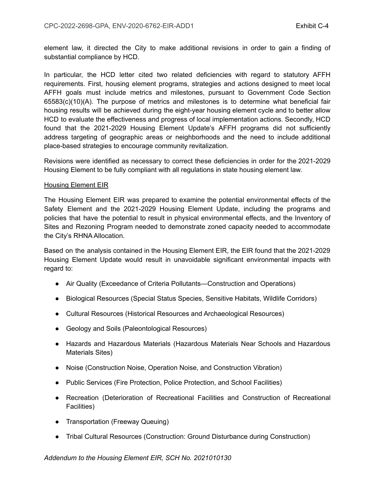element law, it directed the City to make additional revisions in order to gain a finding of substantial compliance by HCD.

In particular, the HCD letter cited two related deficiencies with regard to statutory AFFH requirements. First, housing element programs, strategies and actions designed to meet local AFFH goals must include metrics and milestones, pursuant to Government Code Section 65583(c)(10)(A). The purpose of metrics and milestones is to determine what beneficial fair housing results will be achieved during the eight-year housing element cycle and to better allow HCD to evaluate the effectiveness and progress of local implementation actions. Secondly, HCD found that the 2021-2029 Housing Element Update's AFFH programs did not sufficiently address targeting of geographic areas or neighborhoods and the need to include additional place-based strategies to encourage community revitalization.

Revisions were identified as necessary to correct these deficiencies in order for the 2021-2029 Housing Element to be fully compliant with all regulations in state housing element law.

#### Housing Element EIR

The Housing Element EIR was prepared to examine the potential environmental effects of the Safety Element and the 2021-2029 Housing Element Update, including the programs and policies that have the potential to result in physical environmental effects, and the Inventory of Sites and Rezoning Program needed to demonstrate zoned capacity needed to accommodate the City's RHNA Allocation.

Based on the analysis contained in the Housing Element EIR, the EIR found that the 2021-2029 Housing Element Update would result in unavoidable significant environmental impacts with regard to:

- Air Quality (Exceedance of Criteria Pollutants—Construction and Operations)
- Biological Resources (Special Status Species, Sensitive Habitats, Wildlife Corridors)
- Cultural Resources (Historical Resources and Archaeological Resources)
- Geology and Soils (Paleontological Resources)
- Hazards and Hazardous Materials (Hazardous Materials Near Schools and Hazardous Materials Sites)
- Noise (Construction Noise, Operation Noise, and Construction Vibration)
- Public Services (Fire Protection, Police Protection, and School Facilities)
- Recreation (Deterioration of Recreational Facilities and Construction of Recreational Facilities)
- Transportation (Freeway Queuing)
- Tribal Cultural Resources (Construction: Ground Disturbance during Construction)

#### *Addendum to the Housing Element EIR, SCH No. 2021010130*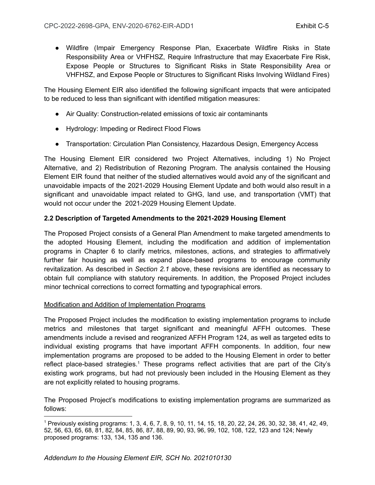● Wildfire (Impair Emergency Response Plan, Exacerbate Wildfire Risks in State Responsibility Area or VHFHSZ, Require Infrastructure that may Exacerbate Fire Risk, Expose People or Structures to Significant Risks in State Responsibility Area or VHFHSZ, and Expose People or Structures to Significant Risks Involving Wildland Fires)

The Housing Element EIR also identified the following significant impacts that were anticipated to be reduced to less than significant with identified mitigation measures:

- Air Quality: Construction-related emissions of toxic air contaminants
- Hydrology: Impeding or Redirect Flood Flows
- Transportation: Circulation Plan Consistency, Hazardous Design, Emergency Access

The Housing Element EIR considered two Project Alternatives, including 1) No Project Alternative, and 2) Redistribution of Rezoning Program. The analysis contained the Housing Element EIR found that neither of the studied alternatives would avoid any of the significant and unavoidable impacts of the 2021-2029 Housing Element Update and both would also result in a significant and unavoidable impact related to GHG, land use, and transportation (VMT) that would not occur under the 2021-2029 Housing Element Update.

# **2.2 Description of Targeted Amendments to the 2021-2029 Housing Element**

The Proposed Project consists of a General Plan Amendment to make targeted amendments to the adopted Housing Element, including the modification and addition of implementation programs in Chapter 6 to clarify metrics, milestones, actions, and strategies to affirmatively further fair housing as well as expand place-based programs to encourage community revitalization. As described in *Section 2.1* above, these revisions are identified as necessary to obtain full compliance with statutory requirements. In addition, the Proposed Project includes minor technical corrections to correct formatting and typographical errors.

# Modification and Addition of Implementation Programs

The Proposed Project includes the modification to existing implementation programs to include metrics and milestones that target significant and meaningful AFFH outcomes. These amendments include a revised and reogranized AFFH Program 124, as well as targeted edits to individual existing programs that have important AFFH components. In addition, four new implementation programs are proposed to be added to the Housing Element in order to better reflect place-based strategies.<sup>1</sup> These programs reflect activities that are part of the City's existing work programs, but had not previously been included in the Housing Element as they are not explicitly related to housing programs.

The Proposed Project's modifications to existing implementation programs are summarized as follows:

<sup>1</sup> Previously existing programs: 1, 3, 4, 6, 7, 8, 9, 10, 11, 14, 15, 18, 20, 22, 24, 26, 30, 32, 38, 41, 42, 49, 52, 56, 63, 65, 68, 81, 82, 84, 85, 86, 87, 88, 89, 90, 93, 96, 99, 102, 108, 122, 123 and 124; Newly proposed programs: 133, 134, 135 and 136.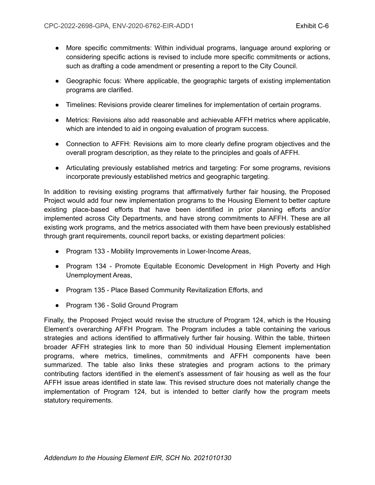- More specific commitments: Within individual programs, language around exploring or considering specific actions is revised to include more specific commitments or actions, such as drafting a code amendment or presenting a report to the City Council.
- Geographic focus: Where applicable, the geographic targets of existing implementation programs are clarified.
- Timelines: Revisions provide clearer timelines for implementation of certain programs.
- Metrics: Revisions also add reasonable and achievable AFFH metrics where applicable, which are intended to aid in ongoing evaluation of program success.
- Connection to AFFH: Revisions aim to more clearly define program objectives and the overall program description, as they relate to the principles and goals of AFFH.
- Articulating previously established metrics and targeting: For some programs, revisions incorporate previously established metrics and geographic targeting.

In addition to revising existing programs that affirmatively further fair housing, the Proposed Project would add four new implementation programs to the Housing Element to better capture existing place-based efforts that have been identified in prior planning efforts and/or implemented across City Departments, and have strong commitments to AFFH. These are all existing work programs, and the metrics associated with them have been previously established through grant requirements, council report backs, or existing department policies:

- Program 133 Mobility Improvements in Lower-Income Areas,
- Program 134 Promote Equitable Economic Development in High Poverty and High Unemployment Areas,
- Program 135 Place Based Community Revitalization Efforts, and
- Program 136 Solid Ground Program

Finally, the Proposed Project would revise the structure of Program 124, which is the Housing Element's overarching AFFH Program. The Program includes a table containing the various strategies and actions identified to affirmatively further fair housing. Within the table, thirteen broader AFFH strategies link to more than 50 individual Housing Element implementation programs, where metrics, timelines, commitments and AFFH components have been summarized. The table also links these strategies and program actions to the primary contributing factors identified in the element's assessment of fair housing as well as the four AFFH issue areas identified in state law. This revised structure does not materially change the implementation of Program 124, but is intended to better clarify how the program meets statutory requirements.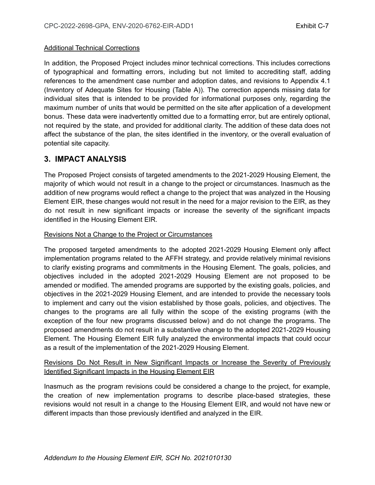### Additional Technical Corrections

In addition, the Proposed Project includes minor technical corrections. This includes corrections of typographical and formatting errors, including but not limited to accrediting staff, adding references to the amendment case number and adoption dates, and revisions to Appendix 4.1 (Inventory of Adequate Sites for Housing (Table A)). The correction appends missing data for individual sites that is intended to be provided for informational purposes only, regarding the maximum number of units that would be permitted on the site after application of a development bonus. These data were inadvertently omitted due to a formatting error, but are entirely optional, not required by the state, and provided for additional clarity. The addition of these data does not affect the substance of the plan, the sites identified in the inventory, or the overall evaluation of potential site capacity.

# **3. IMPACT ANALYSIS**

The Proposed Project consists of targeted amendments to the 2021-2029 Housing Element, the majority of which would not result in a change to the project or circumstances. Inasmuch as the addition of new programs would reflect a change to the project that was analyzed in the Housing Element EIR, these changes would not result in the need for a major revision to the EIR, as they do not result in new significant impacts or increase the severity of the significant impacts identified in the Housing Element EIR.

# Revisions Not a Change to the Project or Circumstances

The proposed targeted amendments to the adopted 2021-2029 Housing Element only affect implementation programs related to the AFFH strategy, and provide relatively minimal revisions to clarify existing programs and commitments in the Housing Element. The goals, policies, and objectives included in the adopted 2021-2029 Housing Element are not proposed to be amended or modified. The amended programs are supported by the existing goals, policies, and objectives in the 2021-2029 Housing Element, and are intended to provide the necessary tools to implement and carry out the vision established by those goals, policies, and objectives. The changes to the programs are all fully within the scope of the existing programs (with the exception of the four new programs discussed below) and do not change the programs. The proposed amendments do not result in a substantive change to the adopted 2021-2029 Housing Element. The Housing Element EIR fully analyzed the environmental impacts that could occur as a result of the implementation of the 2021-2029 Housing Element.

# Revisions Do Not Result in New Significant Impacts or Increase the Severity of Previously Identified Significant Impacts in the Housing Element EIR

Inasmuch as the program revisions could be considered a change to the project, for example, the creation of new implementation programs to describe place-based strategies, these revisions would not result in a change to the Housing Element EIR, and would not have new or different impacts than those previously identified and analyzed in the EIR.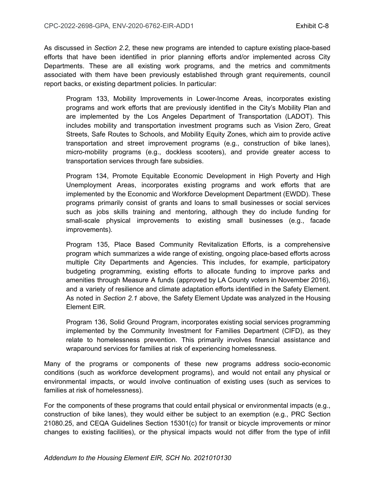As discussed in *Section 2.2*, these new programs are intended to capture existing place-based efforts that have been identified in prior planning efforts and/or implemented across City Departments. These are all existing work programs, and the metrics and commitments associated with them have been previously established through grant requirements, council report backs, or existing department policies. In particular:

Program 133, Mobility Improvements in Lower-Income Areas, incorporates existing programs and work efforts that are previously identified in the City's Mobility Plan and are implemented by the Los Angeles Department of Transportation (LADOT). This includes mobility and transportation investment programs such as Vision Zero, Great Streets, Safe Routes to Schools, and Mobility Equity Zones, which aim to provide active transportation and street improvement programs (e.g., construction of bike lanes), micro-mobility programs (e.g., dockless scooters), and provide greater access to transportation services through fare subsidies.

Program 134, Promote Equitable Economic Development in High Poverty and High Unemployment Areas, incorporates existing programs and work efforts that are implemented by the Economic and Workforce Development Department (EWDD). These programs primarily consist of grants and loans to small businesses or social services such as jobs skills training and mentoring, although they do include funding for small-scale physical improvements to existing small businesses (e.g., facade improvements).

Program 135, Place Based Community Revitalization Efforts, is a comprehensive program which summarizes a wide range of existing, ongoing place-based efforts across multiple City Departments and Agencies. This includes, for example, participatory budgeting programming, existing efforts to allocate funding to improve parks and amenities through Measure A funds (approved by LA County voters in November 2016), and a variety of resilience and climate adaptation efforts identified in the Safety Element. As noted in *Section 2.1* above, the Safety Element Update was analyzed in the Housing Element EIR.

Program 136, Solid Ground Program, incorporates existing social services programming implemented by the Community Investment for Families Department (CIFD), as they relate to homelessness prevention. This primarily involves financial assistance and wraparound services for families at risk of experiencing homelessness.

Many of the programs or components of these new programs address socio-economic conditions (such as workforce development programs), and would not entail any physical or environmental impacts, or would involve continuation of existing uses (such as services to families at risk of homelessness).

For the components of these programs that could entail physical or environmental impacts (e.g., construction of bike lanes), they would either be subject to an exemption (e.g., PRC Section 21080.25, and CEQA Guidelines Section 15301(c) for transit or bicycle improvements or minor changes to existing facilities), or the physical impacts would not differ from the type of infill